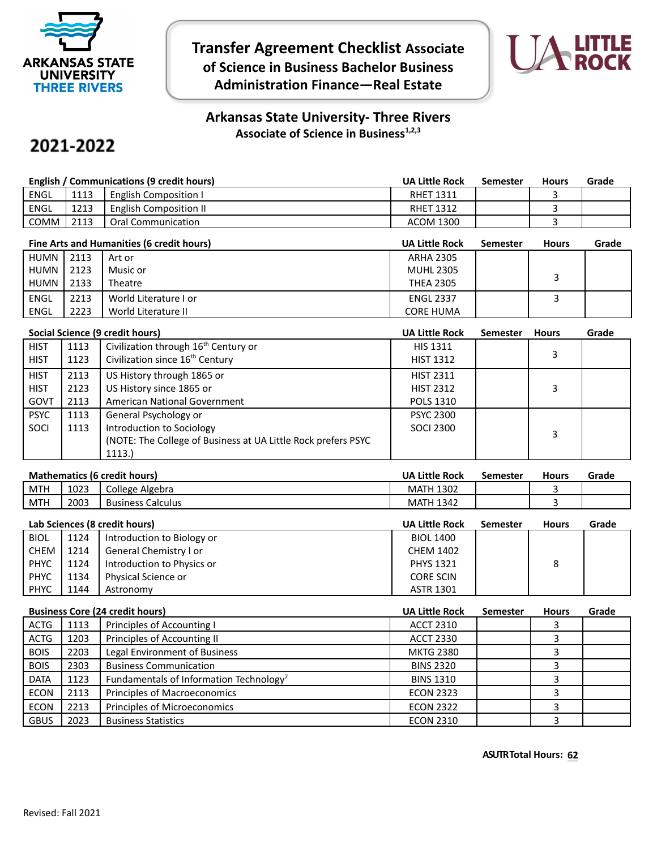

**Transfer Agreement Checklist Associate of Science in Business Bachelor Business Administration Finance—Real Estate**



## **Arkansas State University- Three Rivers Associate of Science in Business1,2,3**

## 2021-2022

| English / Communications (9 credit hours) |      |                               | <b>UA Little Rock</b> | Semester | <b>Hours</b> | Grade |
|-------------------------------------------|------|-------------------------------|-----------------------|----------|--------------|-------|
| <b>ENGL</b>                               | 1113 | <b>English Composition I</b>  | <b>RHET 1311</b>      |          |              |       |
| <b>ENGL</b>                               | 1213 | <b>English Composition II</b> | <b>RHET 1312</b>      |          |              |       |
| <b>COMM</b>                               | 2113 | Oral Communication            | <b>ACOM 1300</b>      |          |              |       |

| Fine Arts and Humanities (6 credit hours) |      |                       | <b>UA Little Rock</b> | Semester | <b>Hours</b> | Grade |
|-------------------------------------------|------|-----------------------|-----------------------|----------|--------------|-------|
| HUMN                                      | 2113 | Art or                | <b>ARHA 2305</b>      |          |              |       |
| HUMN                                      | 2123 | Music or              | <b>MUHL 2305</b>      |          |              |       |
| HUMN                                      | 2133 | Theatre               | <b>THEA 2305</b>      |          |              |       |
| ENGL                                      | 2213 | World Literature I or | <b>ENGL 2337</b>      |          |              |       |
| ENGL                                      | 2223 | World Literature II   | <b>CORE HUMA</b>      |          |              |       |

|             | Social Science (9 credit hours) |                                                                |                  | <b>Semester</b> | <b>Hours</b> | Grade |
|-------------|---------------------------------|----------------------------------------------------------------|------------------|-----------------|--------------|-------|
| <b>HIST</b> | 1113                            | Civilization through 16 <sup>th</sup> Century or               | <b>HIS 1311</b>  |                 |              |       |
| <b>HIST</b> | 1123                            | Civilization since 16 <sup>th</sup> Century                    | <b>HIST 1312</b> |                 | 3            |       |
| <b>HIST</b> | 2113                            | US History through 1865 or                                     | <b>HIST 2311</b> |                 |              |       |
| <b>HIST</b> | 2123                            | US History since 1865 or                                       | <b>HIST 2312</b> |                 | 3            |       |
| GOVT        | 2113                            | American National Government                                   | <b>POLS 1310</b> |                 |              |       |
| <b>PSYC</b> | 1113                            | General Psychology or                                          | <b>PSYC 2300</b> |                 |              |       |
| SOCI        | 1113                            | Introduction to Sociology                                      | SOCI 2300        |                 | 3            |       |
|             |                                 | (NOTE: The College of Business at UA Little Rock prefers PSYC) |                  |                 |              |       |
|             |                                 | 1113.)                                                         |                  |                 |              |       |

| <b>Mathematics (6 credit hours)</b> |      |                          | <b>UA Little Rock</b> | Semester | <b>Hours</b> | Grade |
|-------------------------------------|------|--------------------------|-----------------------|----------|--------------|-------|
| <b>MTH</b>                          | 1023 | College Algebra          | <b>MATH 1302</b>      |          |              |       |
| <b>MTH</b>                          | 2003 | <b>Business Calculus</b> | <b>MATH 1342</b>      |          |              |       |
|                                     |      |                          |                       |          |              |       |

|             | Lab Sciences (8 credit hours) |                            |                  | Semester | <b>Hours</b> | Grade |
|-------------|-------------------------------|----------------------------|------------------|----------|--------------|-------|
| <b>BIOL</b> | 1124                          | Introduction to Biology or | <b>BIOL 1400</b> |          |              |       |
| CHEM        | 1214                          | General Chemistry I or     | <b>CHEM 1402</b> |          |              |       |
| <b>PHYC</b> | 1124                          | Introduction to Physics or | <b>PHYS 1321</b> |          | 8            |       |
| PHYC        | 1134                          | Physical Science or        | <b>CORE SCIN</b> |          |              |       |
| <b>PHYC</b> | 1144                          | Astronomy                  | <b>ASTR 1301</b> |          |              |       |

|             | <b>Business Core (24 credit hours)</b> |                                                     |                  | <b>Semester</b> | <b>Hours</b> | Grade |
|-------------|----------------------------------------|-----------------------------------------------------|------------------|-----------------|--------------|-------|
| <b>ACTG</b> | 1113                                   | Principles of Accounting I                          | <b>ACCT 2310</b> |                 |              |       |
| <b>ACTG</b> | 1203                                   | Principles of Accounting II                         | <b>ACCT 2330</b> |                 |              |       |
| <b>BOIS</b> | 2203                                   | Legal Environment of Business                       | <b>MKTG 2380</b> |                 |              |       |
| <b>BOIS</b> | 2303                                   | <b>Business Communication</b>                       | <b>BINS 2320</b> |                 |              |       |
| <b>DATA</b> | 1123                                   | Fundamentals of Information Technology <sup>7</sup> | <b>BINS 1310</b> |                 |              |       |
| <b>ECON</b> | 2113                                   | Principles of Macroeconomics                        | <b>ECON 2323</b> |                 |              |       |
| <b>ECON</b> | 2213                                   | Principles of Microeconomics                        | <b>ECON 2322</b> |                 |              |       |
| <b>GBUS</b> | 2023                                   | <b>Business Statistics</b>                          | <b>ECON 2310</b> |                 |              |       |

**ASUTR Total Hours: 62**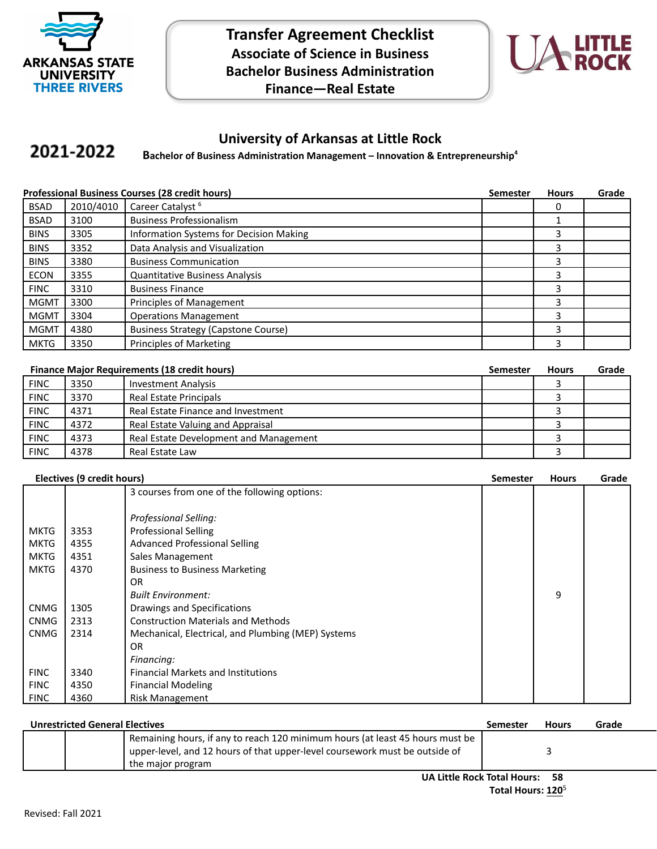

**Transfer Agreement Checklist Associate of Science in Business Bachelor Business Administration Finance—Real Estate**



## **University of Arkansas at Little Rock**

## 2021-2022 **Bachelor of Business Administration Management – Innovation & Entrepreneurship<sup>4</sup>**

|             | <b>Professional Business Courses (28 credit hours)</b> |                                            |  | <b>Hours</b> | Grade |
|-------------|--------------------------------------------------------|--------------------------------------------|--|--------------|-------|
| <b>BSAD</b> | 2010/4010                                              | Career Catalyst <sup>6</sup>               |  |              |       |
| <b>BSAD</b> | 3100                                                   | <b>Business Professionalism</b>            |  |              |       |
| <b>BINS</b> | 3305                                                   | Information Systems for Decision Making    |  | 3            |       |
| <b>BINS</b> | 3352                                                   | Data Analysis and Visualization            |  | 3            |       |
| <b>BINS</b> | 3380                                                   | <b>Business Communication</b>              |  | 3            |       |
| <b>ECON</b> | 3355                                                   | <b>Quantitative Business Analysis</b>      |  | 3            |       |
| <b>FINC</b> | 3310                                                   | <b>Business Finance</b>                    |  | 3            |       |
| <b>MGMT</b> | 3300                                                   | Principles of Management                   |  | 3            |       |
| <b>MGMT</b> | 3304                                                   | <b>Operations Management</b>               |  | 3            |       |
| <b>MGMT</b> | 4380                                                   | <b>Business Strategy (Capstone Course)</b> |  | 3            |       |
| MKTG        | 3350                                                   | Principles of Marketing                    |  | 3            |       |

|             | <b>Finance Major Requirements (18 credit hours)</b><br>Semester |                                        |  | <b>Hours</b> | Grade |
|-------------|-----------------------------------------------------------------|----------------------------------------|--|--------------|-------|
| <b>FINC</b> | 3350                                                            | <b>Investment Analysis</b>             |  |              |       |
| <b>FINC</b> | 3370                                                            | Real Estate Principals                 |  |              |       |
| <b>FINC</b> | 4371                                                            | Real Estate Finance and Investment     |  |              |       |
| <b>FINC</b> | 4372                                                            | Real Estate Valuing and Appraisal      |  |              |       |
| <b>FINC</b> | 4373                                                            | Real Estate Development and Management |  |              |       |
| <b>FINC</b> | 4378                                                            | Real Estate Law                        |  |              |       |

|  | Electives (9 credit hours) |  |
|--|----------------------------|--|
|--|----------------------------|--|

| Electives (9 credit hours) |      | <b>Semester</b>                                    | <b>Hours</b> | Grade |  |
|----------------------------|------|----------------------------------------------------|--------------|-------|--|
|                            |      | 3 courses from one of the following options:       |              |       |  |
|                            |      |                                                    |              |       |  |
|                            |      | Professional Selling:                              |              |       |  |
| <b>MKTG</b>                | 3353 | <b>Professional Selling</b>                        |              |       |  |
| <b>MKTG</b>                | 4355 | <b>Advanced Professional Selling</b>               |              |       |  |
| <b>MKTG</b>                | 4351 | Sales Management                                   |              |       |  |
| <b>MKTG</b>                | 4370 | <b>Business to Business Marketing</b>              |              |       |  |
|                            |      | OR.                                                |              |       |  |
|                            |      | <b>Built Environment:</b>                          |              | 9     |  |
| <b>CNMG</b>                | 1305 | Drawings and Specifications                        |              |       |  |
| <b>CNMG</b>                | 2313 | <b>Construction Materials and Methods</b>          |              |       |  |
| <b>CNMG</b>                | 2314 | Mechanical, Electrical, and Plumbing (MEP) Systems |              |       |  |
|                            |      | OR.                                                |              |       |  |
|                            |      | Financing:                                         |              |       |  |
| <b>FINC</b>                | 3340 | <b>Financial Markets and Institutions</b>          |              |       |  |
| <b>FINC</b>                | 4350 | <b>Financial Modeling</b>                          |              |       |  |
| <b>FINC</b>                | 4360 | <b>Risk Management</b>                             |              |       |  |

| <b>Unrestricted General Electives</b> |  |                                                                               | Semester | <b>Hours</b> | Grade |
|---------------------------------------|--|-------------------------------------------------------------------------------|----------|--------------|-------|
|                                       |  | Remaining hours, if any to reach 120 minimum hours (at least 45 hours must be |          |              |       |
|                                       |  | upper-level, and 12 hours of that upper-level coursework must be outside of   |          |              |       |
|                                       |  | the major program                                                             |          |              |       |
| UA Little Rock Total Hours: 58        |  |                                                                               |          |              |       |